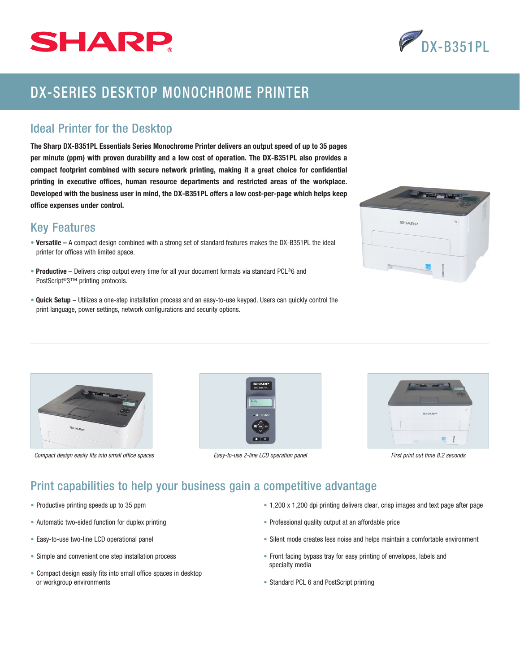



# DX-SERIES DESKTOP MONOCHROME PRINTER

### Ideal Printer for the Desktop

The Sharp DX-B351PL Essentials Series Monochrome Printer delivers an output speed of up to 35 pages per minute (ppm) with proven durability and a low cost of operation. The DX-B351PL also provides a compact footprint combined with secure network printing, making it a great choice for confidential printing in executive offices, human resource departments and restricted areas of the workplace. Developed with the business user in mind, the DX-B351PL offers a low cost-per-page which helps keep office expenses under control.

### Key Features

- Versatile A compact design combined with a strong set of standard features makes the DX-B351PL the ideal printer for offices with limited space.
- Productive Delivers crisp output every time for all your document formats via standard PCL®6 and PostScript®3™ printing protocols.
- Quick Setup Utilizes a one-step installation process and an easy-to-use keypad. Users can quickly control the print language, power settings, network configurations and security options.





*Compact design easily fits into small office spaces Easy-to-use 2-line LCD operation panel First print out time 8.2 seconds*





## Print capabilities to help your business gain a competitive advantage

- Productive printing speeds up to 35 ppm
- Automatic two-sided function for duplex printing
- Easy-to-use two-line LCD operational panel
- Simple and convenient one step installation process
- Compact design easily fits into small office spaces in desktop or workgroup environments
- 1,200 x 1,200 dpi printing delivers clear, crisp images and text page after page
- Professional quality output at an affordable price
- Silent mode creates less noise and helps maintain a comfortable environment
- Front facing bypass tray for easy printing of envelopes, labels and specialty media
- Standard PCL 6 and PostScript printing